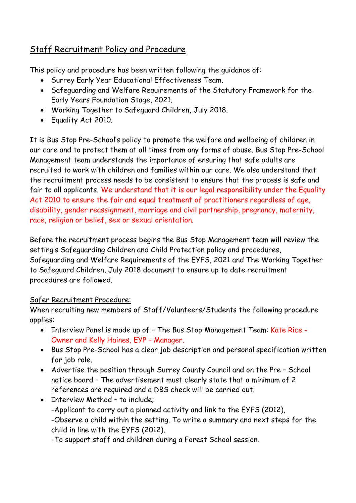## Staff Recruitment Policy and Procedure

This policy and procedure has been written following the guidance of:

- Surrey Early Year Educational Effectiveness Team.
- Safeguarding and Welfare Requirements of the Statutory Framework for the Early Years Foundation Stage, 2021.
- Working Together to Safeguard Children, July 2018.
- Equality Act 2010.

It is Bus Stop Pre-School's policy to promote the welfare and wellbeing of children in our care and to protect them at all times from any forms of abuse. Bus Stop Pre-School Management team understands the importance of ensuring that safe adults are recruited to work with children and families within our care. We also understand that the recruitment process needs to be consistent to ensure that the process is safe and fair to all applicants. We understand that it is our legal responsibility under the Equality Act 2010 to ensure the fair and equal treatment of practitioners regardless of age, disability, gender reassignment, marriage and civil partnership, pregnancy, maternity, race, religion or belief, sex or sexual orientation.

Before the recruitment process begins the Bus Stop Management team will review the setting's Safeguarding Children and Child Protection policy and procedures, Safeguarding and Welfare Requirements of the EYFS, 2021 and The Working Together to Safeguard Children, July 2018 document to ensure up to date recruitment procedures are followed.

## Safer Recruitment Procedure:

When recruiting new members of Staff/Volunteers/Students the following procedure applies:

- Interview Panel is made up of The Bus Stop Management Team: Kate Rice Owner and Kelly Haines, EYP – Manager.
- Bus Stop Pre-School has a clear job description and personal specification written for job role.
- Advertise the position through Surrey County Council and on the Pre School notice board – The advertisement must clearly state that a minimum of 2 references are required and a DBS check will be carried out.
- Interview Method to include;
	- -Applicant to carry out a planned activity and link to the EYFS (2012),
	- -Observe a child within the setting. To write a summary and next steps for the child in line with the EYFS (2012).

-To support staff and children during a Forest School session.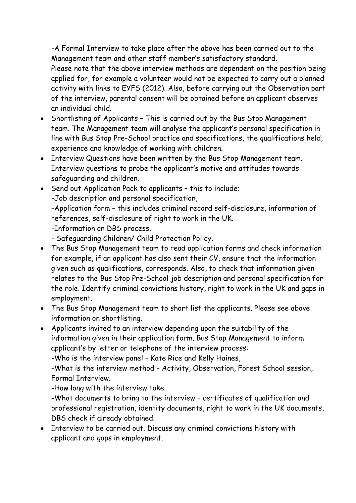-A Formal Interview to take place after the above has been carried out to the Management team and other staff member's satisfactory standard.

Please note that the above interview methods are dependent on the position being applied for, for example a volunteer would not be expected to carry out a planned activity with links to EYFS (2012). Also, before carrying out the Observation part of the interview, parental consent will be obtained before an applicant observes an individual child.

- Shortlisting of Applicants This is carried out by the Bus Stop Management team. The Management team will analyse the applicant's personal specification in line with Bus Stop Pre-School practice and specifications, the qualifications held, experience and knowledge of working with children.
- Interview Questions have been written by the Bus Stop Management team. Interview questions to probe the applicant's motive and attitudes towards safeguarding and children.
- Send out Application Pack to applicants this to include;

-Job description and personal specification,

-Application form – this includes criminal record self-disclosure, information of references, self-disclosure of right to work in the UK.

-Information on DBS process.

- Safeguarding Children/ Child Protection Policy.

- The Bus Stop Management team to read application forms and check information for example, if an applicant has also sent their CV, ensure that the information given such as qualifications, corresponds. Also, to check that information given relates to the Bus Stop Pre-School job description and personal specification for the role. Identify criminal convictions history, right to work in the UK and gaps in employment.
- The Bus Stop Management team to short list the applicants. Please see above information on shortlisting.
- Applicants invited to an interview depending upon the suitability of the information given in their application form. Bus Stop Management to inform applicant's by letter or telephone of the interview process:

-Who is the interview panel – Kate Rice and Kelly Haines,

-What is the interview method – Activity, Observation, Forest School session, Formal Interview.

-How long with the interview take.

-What documents to bring to the interview – certificates of qualification and professional registration, identity documents, right to work in the UK documents, DBS check if already obtained.

• Interview to be carried out. Discuss any criminal convictions history with applicant and gaps in employment.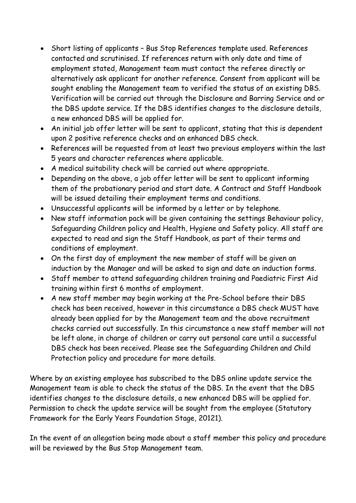- Short listing of applicants Bus Stop References template used. References contacted and scrutinised. If references return with only date and time of employment stated, Management team must contact the referee directly or alternatively ask applicant for another reference. Consent from applicant will be sought enabling the Management team to verified the status of an existing DBS. Verification will be carried out through the Disclosure and Barring Service and or the DBS update service. If the DBS identifies changes to the disclosure details, a new enhanced DBS will be applied for.
- An initial job offer letter will be sent to applicant, stating that this is dependent upon 2 positive reference checks and an enhanced DBS check.
- References will be requested from at least two previous employers within the last 5 years and character references where applicable.
- A medical suitability check will be carried out where appropriate.
- Depending on the above, a job offer letter will be sent to applicant informing them of the probationary period and start date. A Contract and Staff Handbook will be issued detailing their employment terms and conditions.
- Unsuccessful applicants will be informed by a letter or by telephone.
- New staff information pack will be given containing the settings Behaviour policy, Safeguarding Children policy and Health, Hygiene and Safety policy. All staff are expected to read and sign the Staff Handbook, as part of their terms and conditions of employment.
- On the first day of employment the new member of staff will be given an induction by the Manager and will be asked to sign and date an induction forms.
- Staff member to attend safeguarding children training and Paediatric First Aid training within first 6 months of employment.
- A new staff member may begin working at the Pre-School before their DBS check has been received, however in this circumstance a DBS check MUST have already been applied for by the Management team and the above recruitment checks carried out successfully. In this circumstance a new staff member will not be left alone, in charge of children or carry out personal care until a successful DBS check has been received. Please see the Safeguarding Children and Child Protection policy and procedure for more details.

Where by an existing employee has subscribed to the DBS online update service the Management team is able to check the status of the DBS. In the event that the DBS identifies changes to the disclosure details, a new enhanced DBS will be applied for. Permission to check the update service will be sought from the employee (Statutory Framework for the Early Years Foundation Stage, 20121).

In the event of an allegation being made about a staff member this policy and procedure will be reviewed by the Bus Stop Management team.